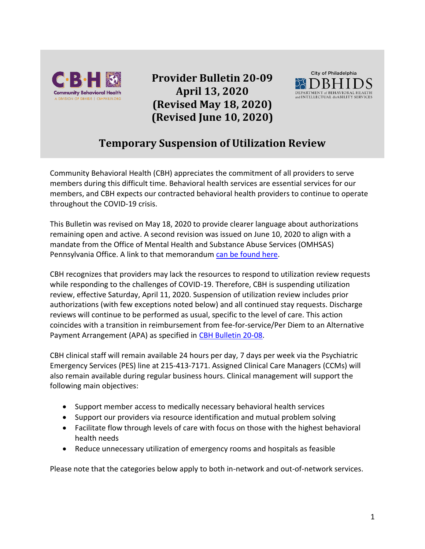

**Provider Bulletin 20-09 April 13, 2020 (Revised May 18, 2020) (Revised June 10, 2020)**



# **Temporary Suspension of Utilization Review**

Community Behavioral Health (CBH) appreciates the commitment of all providers to serve members during this difficult time. Behavioral health services are essential services for our members, and CBH expects our contracted behavioral health providers to continue to operate throughout the COVID-19 crisis.

This Bulletin was revised on May 18, 2020 to provide clearer language about authorizations remaining open and active. A second revision was issued on June 10, 2020 to align with a mandate from the Office of Mental Health and Substance Abuse Services (OMHSAS) Pennsylvania Office. A link to that memorandum [can be found here.](https://www.ddap.pa.gov/Documents/Agency%20Publications/Final%20-%20OMHSAS%20Prior%20Auth%20Under%20COVID-19%205.18.20.pdf)

CBH recognizes that providers may lack the resources to respond to utilization review requests while responding to the challenges of COVID-19. Therefore, CBH is suspending utilization review, effective Saturday, April 11, 2020. Suspension of utilization review includes prior authorizations (with few exceptions noted below) and all continued stay requests. Discharge reviews will continue to be performed as usual, specific to the level of care. This action coincides with a transition in reimbursement from fee-for-service/Per Diem to an Alternative Payment Arrangement (APA) as specified i[n CBH Bulletin 20-08.](https://cbhphilly.org/cbh-providers/oversight-and-monitoring/cbh-provider-manual/provider-bulletins/)

CBH clinical staff will remain available 24 hours per day, 7 days per week via the Psychiatric Emergency Services (PES) line at 215-413-7171. Assigned Clinical Care Managers (CCMs) will also remain available during regular business hours. Clinical management will support the following main objectives:

- Support member access to medically necessary behavioral health services
- Support our providers via resource identification and mutual problem solving
- Facilitate flow through levels of care with focus on those with the highest behavioral health needs
- Reduce unnecessary utilization of emergency rooms and hospitals as feasible

Please note that the categories below apply to both in-network and out-of-network services.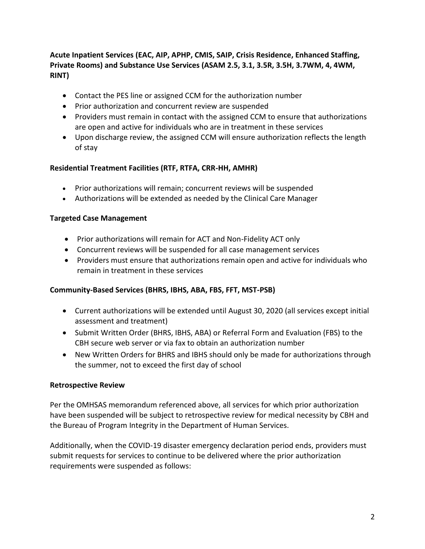## **Acute Inpatient Services (EAC, AIP, APHP, CMIS, SAIP, Crisis Residence, Enhanced Staffing, Private Rooms) and Substance Use Services (ASAM 2.5, 3.1, 3.5R, 3.5H, 3.7WM, 4, 4WM, RINT)**

- Contact the PES line or assigned CCM for the authorization number
- Prior authorization and concurrent review are suspended
- Providers must remain in contact with the assigned CCM to ensure that authorizations are open and active for individuals who are in treatment in these services
- Upon discharge review, the assigned CCM will ensure authorization reflects the length of stay

## **Residential Treatment Facilities (RTF, RTFA, CRR-HH, AMHR)**

- Prior authorizations will remain; concurrent reviews will be suspended
- Authorizations will be extended as needed by the Clinical Care Manager

#### **Targeted Case Management**

- Prior authorizations will remain for ACT and Non-Fidelity ACT only
- Concurrent reviews will be suspended for all case management services
- Providers must ensure that authorizations remain open and active for individuals who remain in treatment in these services

#### **Community-Based Services (BHRS, IBHS, ABA, FBS, FFT, MST-PSB)**

- Current authorizations will be extended until August 30, 2020 (all services except initial assessment and treatment)
- Submit Written Order (BHRS, IBHS, ABA) or Referral Form and Evaluation (FBS) to the CBH secure web server or via fax to obtain an authorization number
- New Written Orders for BHRS and IBHS should only be made for authorizations through the summer, not to exceed the first day of school

#### **Retrospective Review**

Per the OMHSAS memorandum referenced above, all services for which prior authorization have been suspended will be subject to retrospective review for medical necessity by CBH and the Bureau of Program Integrity in the Department of Human Services.

Additionally, when the COVID-19 disaster emergency declaration period ends, providers must submit requests for services to continue to be delivered where the prior authorization requirements were suspended as follows: